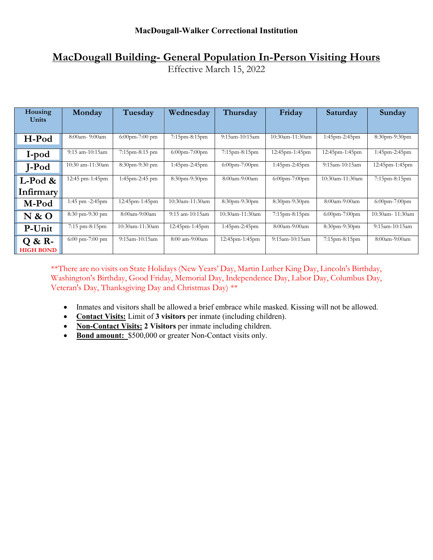### **MacDougall Building- General Population In-Person Visiting Hours**

Effective March 15, 2022

| Housing<br><b>Units</b>        | Monday           | Tuesday              | Wednesday            | Thursday          | Friday               | Saturday         | Sunday           |
|--------------------------------|------------------|----------------------|----------------------|-------------------|----------------------|------------------|------------------|
|                                |                  |                      |                      |                   |                      |                  |                  |
| H-Pod                          | 8:00am-9:00am    | $6:00$ pm-7:00 pm    | $7:15$ pm $-8:15$ pm | $9:15$ am-10:15am | 10:30am-11:30am      | 1:45pm-2:45pm    | 8:30pm-9:30pm    |
| I-pod                          | 9:15 am-10:15am  | $7:15$ pm $-8:15$ pm | $6:00$ pm-7:00pm     | 7:15pm-8:15pm     | 12:45pm-1:45pm       | 12:45pm-1:45pm   | 1:45pm-2:45pm    |
| $J-Pod$                        | 10:30 am-11:30am | $8:30$ pm-9:30 pm    | 1:45pm-2:45pm        | $6:00$ pm-7:00pm  | $1:45$ pm $-2:45$ pm | 9:15am-10:15am   | 12:45pm-1:45pm   |
| $\vert$ L-Pod &                | 12:45 pm-1:45pm  | 1:45pm-2:45 pm       | 8:30pm-9:30pm        | 8:00am-9:00am     | $6:00$ pm-7:00pm     | 10:30am-11:30am  | 7:15pm-8:15pm    |
| Infirmary                      |                  |                      |                      |                   |                      |                  |                  |
| M-Pod                          | 1:45 pm -2:45pm  | 12:45pm-1:45pm       | 10:30am-11:30am      | 8:30pm-9:30pm     | 8:30pm-9:30pm        | 8:00am-9:00am    | $6:00$ pm-7:00pm |
| N & O                          | 8:30 pm-9:30 pm  | 8:00am-9:00am        | 9:15 am-10:15am      | 10:30am-11:30am   | $7:15$ pm $-8:15$ pm | $6:00$ pm-7:00pm | 10:30am-11:30am  |
| P-Unit                         | 7:15 pm-8:15pm   | 10:30am-11:30am      | 12:45pm-1:45pm       | 1:45pm-2:45pm     | 8:00am-9:00am        | 8:30pm-9:30pm    | 9:15am-10:15am   |
| $&R-$<br>Q<br><b>HIGH BOND</b> | 6:00 pm-7:00 pm  | 9:15am-10:15am       | 8:00 am-9:00am       | 12:45pm-1:45pm    | 9:15am-10:15am       | 7:15pm-8:15pm    | 8:00am-9:00am    |

\*\*There are no visits on State Holidays (New Years' Day, Martin Luther King Day, Lincoln's Birthday, Washington's Birthday, Good Friday, Memorial Day, Independence Day, Labor Day, Columbus Day, Veteran's Day, Thanksgiving Day and Christmas Day) \*\*

- Inmates and visitors shall be allowed a brief embrace while masked. Kissing will not be allowed.
- **Contact Visits:** Limit of **3 visitors** per inmate (including children).
- **Non-Contact Visits: 2 Visitors** per inmate including children.
- **Bond amount:** \$500,000 or greater Non-Contact visits only.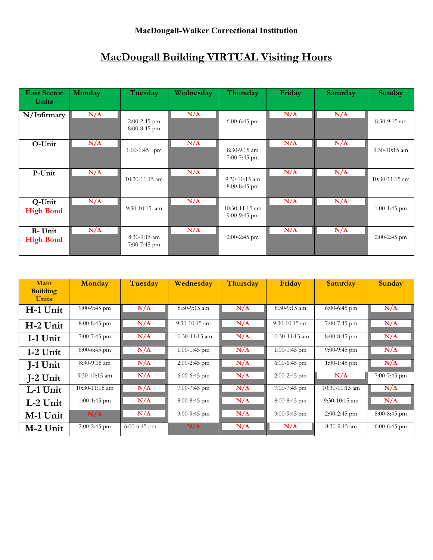# **MacDougall-Walker Correctional Institution**

# **MacDougall Building VIRTUAL Visiting Hours**

| <b>East Sector</b> | Monday | Tuesday                          | Wednesday | Thursday                          | Friday | Saturday | Sunday           |
|--------------------|--------|----------------------------------|-----------|-----------------------------------|--------|----------|------------------|
| <b>Units</b>       |        |                                  |           |                                   |        |          |                  |
| N/Infirmary        | N/A    |                                  | N/A       |                                   | N/A    | N/A      |                  |
|                    |        | $2:00-2:45$ pm<br>$8:00-8:45$ pm |           | $6:00-6:45$ pm                    |        |          | 8:30-9:15 am     |
| O-Unit             | N/A    |                                  | N/A       |                                   | N/A    | N/A      |                  |
|                    |        | 1:00-1:45 pm                     |           | 8:30-9:15 am<br>$7:00-7:45$ pm    |        |          | $9:30-10:15$ am  |
| P-Unit             | N/A    |                                  | N/A       |                                   | N/A    | N/A      |                  |
|                    |        | 10:30-11:15 am                   |           | $9:30-10:15$ am<br>$8:00-8:45$ pm |        |          | $10:30-11:15$ am |
| Q-Unit             | N/A    |                                  | N/A       |                                   | N/A    | N/A      |                  |
| <b>High Bond</b>   |        | 9:30-10:15 am                    |           | 10:30-11:15 am<br>$9:00-9:45$ pm  |        |          | $1:00-1:45$ pm   |
| R- Unit            | N/A    |                                  | N/A       |                                   | N/A    | N/A      |                  |
| <b>High Bond</b>   |        | $8:30-9:15$ am<br>$7:00-7:45$ pm |           | 2:00-2:45 pm                      |        |          | $2:00-2:45$ pm   |

| Main<br><b>Building</b><br><b>Units</b> | <b>Monday</b>    | Tuesday        | Wednesday       | <b>Thursday</b> | Friday          | Saturday        | Sunday         |
|-----------------------------------------|------------------|----------------|-----------------|-----------------|-----------------|-----------------|----------------|
| H-1 Unit                                | $9:00-9:45$ pm   | N/A            | $8:30-9:15$ am  | N/A             | 8:30-9:15 am    | $6:00-6:45$ pm  | N/A            |
| H-2 Unit                                | 8:00-8:45 pm     | N/A            | $9:30-10:15$ am | N/A             | $9:30-10:15$ am | $7:00-7:45$ pm  | N/A            |
| I-1 Unit                                | $7:00-7:45$ pm   | N/A            | 10:30-11:15 am  | N/A             | 10:30-11:15 am  | $8:00-8:45$ pm  | N/A            |
| I-2 Unit                                | $6:00-6:45$ pm   | N/A            | $1:00-1:45$ pm  | N/A             | $1:00-1:45$ pm  | $9:00-9:45$ pm  | N/A            |
| <b>J-1 Unit</b>                         | 8:30-9:15 am     | N/A            | $2:00-2:45$ pm  | N/A             | $6:00-6:45$ pm  | $1:00-1:45$ pm  | N/A            |
| I-2 Unit                                | $9:30-10:15$ am  | N/A            | $6:00-6:45$ pm  | N/A             | $2:00-2:45$ pm  | N/A             | $7:00-7:45$ pm |
| L-1 Unit                                | $10:30-11:15$ am | N/A            | $7:00-7:45$ pm  | N/A             | 7:00-7:45 pm    | 10:30-11:15 am  | N/A            |
| $L-2$ Unit                              | $1:00-1:45$ pm   | N/A            | $8:00-8:45$ pm  | N/A             | $8:00-8:45$ pm  | $9:30-10:15$ am | N/A            |
| M-1 Unit                                | N/A              | N/A            | $9:00-9:45$ pm  | N/A             | $9:00-9:45$ pm  | $2:00-2:45$ pm  | $8:00-8:45$ pm |
| M-2 Unit                                | $2:00-2:45$ pm   | $6:00-6:45$ pm | N/A             | N/A             | N/A             | 8:30-9:15 am    | $6:00-6:45$ pm |